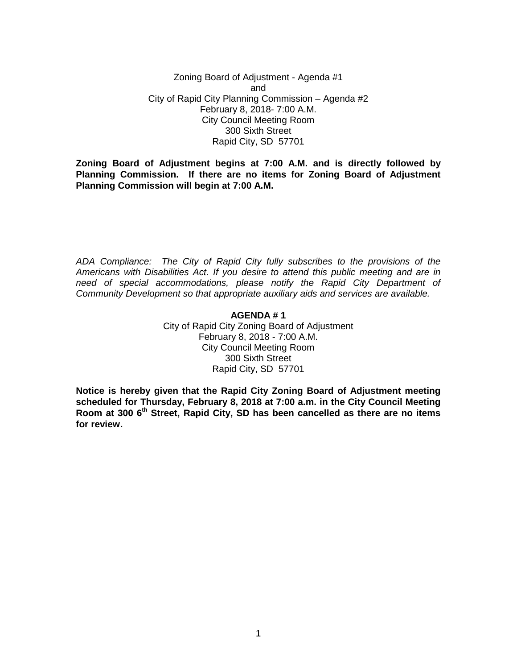Zoning Board of Adjustment - Agenda #1 and City of Rapid City Planning Commission – Agenda #2 February 8, 2018- 7:00 A.M. City Council Meeting Room 300 Sixth Street Rapid City, SD 57701

**Zoning Board of Adjustment begins at 7:00 A.M. and is directly followed by Planning Commission. If there are no items for Zoning Board of Adjustment Planning Commission will begin at 7:00 A.M.**

*ADA Compliance: The City of Rapid City fully subscribes to the provisions of the Americans with Disabilities Act. If you desire to attend this public meeting and are in need of special accommodations, please notify the Rapid City Department of Community Development so that appropriate auxiliary aids and services are available.*

#### **AGENDA # 1**

City of Rapid City Zoning Board of Adjustment February 8, 2018 - 7:00 A.M. City Council Meeting Room 300 Sixth Street Rapid City, SD 57701

**Notice is hereby given that the Rapid City Zoning Board of Adjustment meeting scheduled for Thursday, February 8, 2018 at 7:00 a.m. in the City Council Meeting Room at 300 6th Street, Rapid City, SD has been cancelled as there are no items for review.**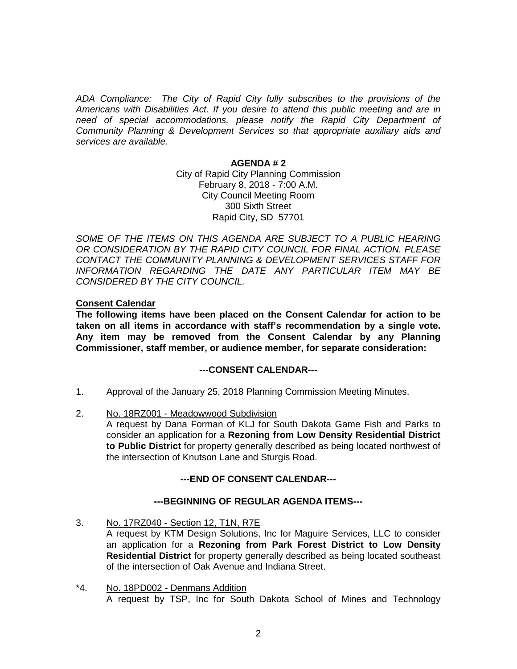*ADA Compliance: The City of Rapid City fully subscribes to the provisions of the Americans with Disabilities Act. If you desire to attend this public meeting and are in need of special accommodations, please notify the Rapid City Department of Community Planning & Development Services so that appropriate auxiliary aids and services are available.*

#### **AGENDA # 2**

City of Rapid City Planning Commission February 8, 2018 - 7:00 A.M. City Council Meeting Room 300 Sixth Street Rapid City, SD 57701

SOME OF THE ITEMS ON THIS AGENDA ARE SUBJECT TO A PUBLIC HEARING *OR CONSIDERATION BY THE RAPID CITY COUNCIL FOR FINAL ACTION. PLEASE CONTACT THE COMMUNITY PLANNING & DEVELOPMENT SERVICES STAFF FOR INFORMATION REGARDING THE DATE ANY PARTICULAR ITEM MAY BE CONSIDERED BY THE CITY COUNCIL.*

## **Consent Calendar**

**The following items have been placed on the Consent Calendar for action to be taken on all items in accordance with staff's recommendation by a single vote. Any item may be removed from the Consent Calendar by any Planning Commissioner, staff member, or audience member, for separate consideration:**

## **---CONSENT CALENDAR---**

- 1. Approval of the January 25, 2018 Planning Commission Meeting Minutes.
- 2. No. 18RZ001 Meadowwood Subdivision

A request by Dana Forman of KLJ for South Dakota Game Fish and Parks to consider an application for a **Rezoning from Low Density Residential District to Public District** for property generally described as being located northwest of the intersection of Knutson Lane and Sturgis Road.

# **---END OF CONSENT CALENDAR---**

## **---BEGINNING OF REGULAR AGENDA ITEMS---**

3. No. 17RZ040 - Section 12, T1N, R7E

A request by KTM Design Solutions, Inc for Maguire Services, LLC to consider an application for a **Rezoning from Park Forest District to Low Density Residential District** for property generally described as being located southeast of the intersection of Oak Avenue and Indiana Street.

\*4. No. 18PD002 - Denmans Addition A request by TSP, Inc for South Dakota School of Mines and Technology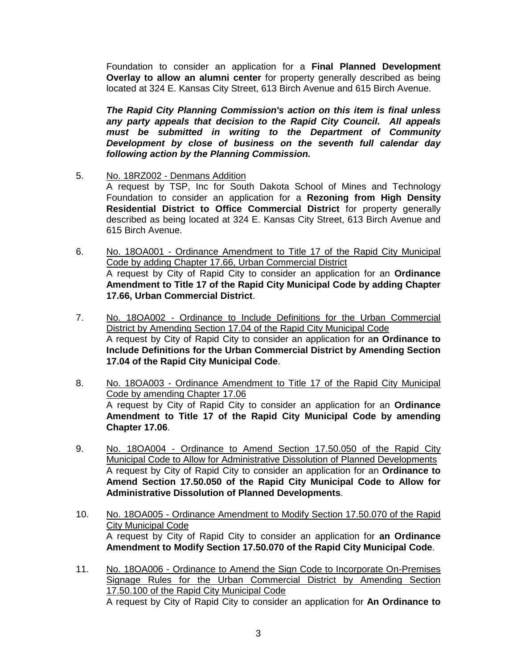Foundation to consider an application for a **Final Planned Development Overlay to allow an alumni center** for property generally described as being located at 324 E. Kansas City Street, 613 Birch Avenue and 615 Birch Avenue.

*The Rapid City Planning Commission's action on this item is final unless any party appeals that decision to the Rapid City Council. All appeals must be submitted in writing to the Department of Community Development by close of business on the seventh full calendar day following action by the Planning Commission.*

5. No. 18RZ002 - Denmans Addition

A request by TSP, Inc for South Dakota School of Mines and Technology Foundation to consider an application for a **Rezoning from High Density Residential District to Office Commercial District** for property generally described as being located at 324 E. Kansas City Street, 613 Birch Avenue and 615 Birch Avenue.

- 6. No. 18OA001 Ordinance Amendment to Title 17 of the Rapid City Municipal Code by adding Chapter 17.66, Urban Commercial District A request by City of Rapid City to consider an application for an **Ordinance Amendment to Title 17 of the Rapid City Municipal Code by adding Chapter 17.66, Urban Commercial District**.
- 7. No. 18OA002 Ordinance to Include Definitions for the Urban Commercial District by Amending Section 17.04 of the Rapid City Municipal Code A request by City of Rapid City to consider an application for a**n Ordinance to Include Definitions for the Urban Commercial District by Amending Section 17.04 of the Rapid City Municipal Code**.
- 8. No. 18OA003 Ordinance Amendment to Title 17 of the Rapid City Municipal Code by amending Chapter 17.06 A request by City of Rapid City to consider an application for an **Ordinance Amendment to Title 17 of the Rapid City Municipal Code by amending Chapter 17.06**.
- 9. No. 18OA004 Ordinance to Amend Section 17.50.050 of the Rapid City Municipal Code to Allow for Administrative Dissolution of Planned Developments A request by City of Rapid City to consider an application for an **Ordinance to Amend Section 17.50.050 of the Rapid City Municipal Code to Allow for Administrative Dissolution of Planned Developments**.
- 10. No. 18OA005 Ordinance Amendment to Modify Section 17.50.070 of the Rapid City Municipal Code A request by City of Rapid City to consider an application for **an Ordinance Amendment to Modify Section 17.50.070 of the Rapid City Municipal Code**.
- 11. No. 18OA006 Ordinance to Amend the Sign Code to Incorporate On-Premises Signage Rules for the Urban Commercial District by Amending Section 17.50.100 of the Rapid City Municipal Code A request by City of Rapid City to consider an application for **An Ordinance to**